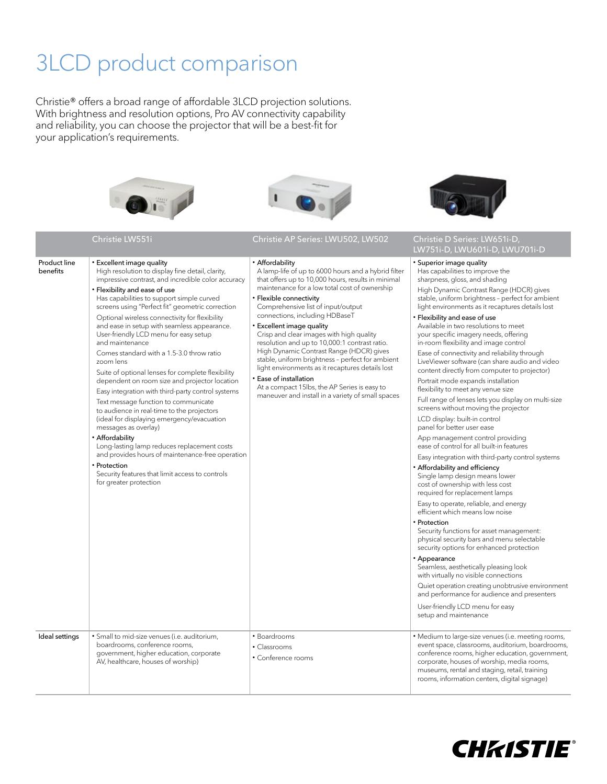# 3LCD product comparison

Christie® offers a broad range of affordable 3LCD projection solutions. With brightness and resolution options, Pro AV connectivity capability and reliability, you can choose the projector that will be a best-fit for your application's requirements.

Christie LW551i Christie AP Series: LWU502, LW502







#### Christie D Series: LW651i-D,<br>LW751i-D, LWU601i-D, LWU701i-D Product line benefits • Excellent image quality High resolution to display fine detail, clarity, impressive contrast, and incredible color accuracy • Flexibility and ease of use Has capabilities to support simple curved screens using "Perfect fit" geometric correction Optional wireless connectivity for flexibility and ease in setup with seamless appearance. User-friendly LCD menu for easy setup and maintenance Comes standard with a 1.5-3.0 throw ratio zoom lens Suite of optional lenses for complete flexibility dependent on room size and projector location Easy integration with third-party control systems Text message function to communicate to audience in real-time to the projectors (ideal for displaying emergency/evacuation messages as overlay) • Affordability Long-lasting lamp reduces replacement costs and provides hours of maintenance-free operation **Protection** Security features that limit access to controls for greater protection • Affordability A lamp-life of up to 6000 hours and a hybrid filter that offers up to 10,000 hours, results in minimal maintenance for a low total cost of ownership • Flexible connectivity Comprehensive list of input/output connections, including HDBaseT • Excellent image quality Crisp and clear images with high quality resolution and up to 10,000:1 contrast ratio. High Dynamic Contrast Range (HDCR) gives stable, uniform brightness – perfect for ambient light environments as it recaptures details lost • Ease of installation At a compact 15lbs, the AP Series is easy to maneuver and install in a variety of small spaces • Superior image quality Has capabilities to improve the sharpness, gloss, and shading High Dynamic Contrast Range (HDCR) gives stable, uniform brightness – perfect for ambient light environments as it recaptures details lost • Flexibility and ease of use Available in two resolutions to meet your specific imagery needs, offering in-room flexibility and image control Ease of connectivity and reliability through LiveViewer software (can share audio and video content directly from computer to projector) Portrait mode expands installation flexibility to meet any venue size Full range of lenses lets you display on multi-size screens without moving the projector LCD display: built-in control panel for better user ease App management control providing ease of control for all built-in features Easy integration with third-party control systems • Affordability and efficiency Single lamp design means lower cost of ownership with less cost required for replacement lamps Easy to operate, reliable, and energy efficient which means low noise • Protection Security functions for asset management: physical security bars and menu selectable security options for enhanced protection • Appearance Seamless, aesthetically pleasing look with virtually no visible connections Quiet operation creating unobtrusive environment and performance for audience and presenters User-friendly LCD menu for easy setup and maintenance Ideal settings | · Small to mid-size venues (i.e. auditorium, boardrooms, conference rooms, government, higher education, corporate AV, healthcare, houses of worship) • Boardrooms • Classrooms • Conference rooms • Medium to large-size venues (i.e. meeting rooms, event space, classrooms, auditorium, boardrooms, conference rooms, higher education, government, corporate, houses of worship, media rooms, museums, rental and staging, retail, training rooms, information centers, digital signage)